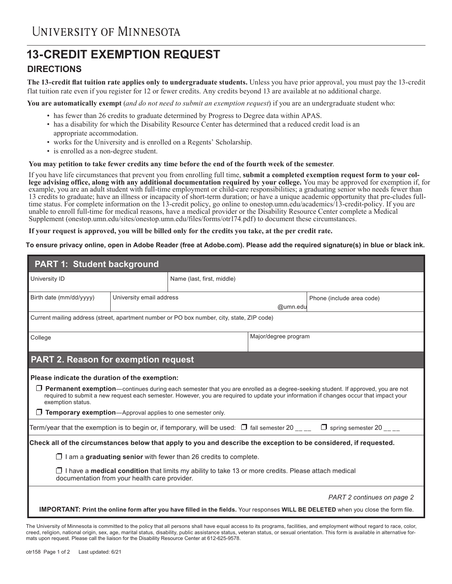# **13-CREDIT EXEMPTION REQUEST**

## **DIRECTIONS**

**The 13-credit flat tuition rate applies only to undergraduate students.** Unless you have prior approval, you must pay the 13-credit flat tuition rate even if you register for 12 or fewer credits. Any credits beyond 13 are available at no additional charge.

**You are automatically exempt** (*and do not need to submit an exemption request*) if you are an undergraduate student who:

- has fewer than 26 credits to graduate determined by Progress to Degree data within APAS.
- has a disability for which the Disability Resource Center has determined that a reduced credit load is an appropriate accommodation.
- works for the University and is enrolled on a Regents' Scholarship.
- is enrolled as a non-degree student.

### **You may petition to take fewer credits any time before the end of the fourth week of the semester**.

If you have life circumstances that prevent you from enrolling full time, **submit a completed exemption request form to your college advising office, along with any additional documentation required by your college.** You may be approved for exemption if, for example, you are an adult student with full-time employment or child-care responsibilities; a graduating senior who needs fewer than 13 credits to graduate; have an illness or incapacity of short-term duration; or have a unique academic opportunity that pre-cludes fulltime status. For complete information on the 13-credit policy, go online to onestop.umn.edu/academics/13-credit-policy. If you are unable to enroll full-time for medical reasons, have a medical provider or the Disability Resource Center complete a Medical Supplement (onestop.umn.edu/sites/onestop.umn.edu/files/forms/otr174.pdf) to document these circumstances.

### **If your request is approved, you will be billed only for the credits you take, at the per credit rate.**

### **To ensure privacy online, open in Adobe Reader (free at Adobe.com). Please add the required signature(s) in blue or black ink.**

| <b>PART 1: Student background</b>                                                                                                                                                                                                                                                                                                                                                                                           |                          |                            |                      |                            |  |  |  |
|-----------------------------------------------------------------------------------------------------------------------------------------------------------------------------------------------------------------------------------------------------------------------------------------------------------------------------------------------------------------------------------------------------------------------------|--------------------------|----------------------------|----------------------|----------------------------|--|--|--|
| University ID                                                                                                                                                                                                                                                                                                                                                                                                               |                          | Name (last, first, middle) |                      |                            |  |  |  |
| Birth date (mm/dd/yyyy)                                                                                                                                                                                                                                                                                                                                                                                                     | University email address |                            | @umn.edu             | Phone (include area code)  |  |  |  |
| Current mailing address (street, apartment number or PO box number, city, state, ZIP code)                                                                                                                                                                                                                                                                                                                                  |                          |                            |                      |                            |  |  |  |
| College                                                                                                                                                                                                                                                                                                                                                                                                                     |                          |                            | Major/degree program |                            |  |  |  |
| <b>PART 2. Reason for exemption request</b>                                                                                                                                                                                                                                                                                                                                                                                 |                          |                            |                      |                            |  |  |  |
| Please indicate the duration of the exemption:<br>$\Box$ Permanent exemption—continues during each semester that you are enrolled as a degree-seeking student. If approved, you are not<br>required to submit a new request each semester. However, you are required to update your information if changes occur that impact your<br>exemption status.<br>$\Box$ Temporary exemption—Approval applies to one semester only. |                          |                            |                      |                            |  |  |  |
| Term/year that the exemption is to begin or, if temporary, will be used: $\Box$ fall semester 20 _____ $\Box$ spring semester 20 ____                                                                                                                                                                                                                                                                                       |                          |                            |                      |                            |  |  |  |
| Check all of the circumstances below that apply to you and describe the exception to be considered, if requested.                                                                                                                                                                                                                                                                                                           |                          |                            |                      |                            |  |  |  |
| $\Box$ I am a graduating senior with fewer than 26 credits to complete.                                                                                                                                                                                                                                                                                                                                                     |                          |                            |                      |                            |  |  |  |
| $\Box$ I have a <b>medical condition</b> that limits my ability to take 13 or more credits. Please attach medical<br>documentation from your health care provider.                                                                                                                                                                                                                                                          |                          |                            |                      |                            |  |  |  |
|                                                                                                                                                                                                                                                                                                                                                                                                                             |                          |                            |                      | PART 2 continues on page 2 |  |  |  |
| IMPORTANT: Print the online form after you have filled in the fields. Your responses WILL BE DELETED when you close the form file.                                                                                                                                                                                                                                                                                          |                          |                            |                      |                            |  |  |  |

The University of Minnesota is committed to the policy that all persons shall have equal access to its programs, facilities, and employment without regard to race, color, creed, religion, national origin, sex, age, marital status, disability, public assistance status, veteran status, or sexual orientation. This form is available in alternative formats upon request. Please call the liaison for the Disability Resource Center at 612-625-9578.